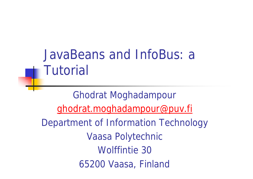### JavaBeans and InfoBus: a **Tutorial**

Ghodrat Moghadampour ghodrat.moghadampour@puv.fi Department of Information Technology Vaasa Polytechnic Wolffintie 30 65200 Vaasa, Finland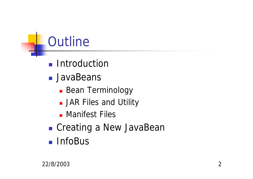# **Outline**

- **n** Introduction
- **n** JavaBeans
	- **Bean Terminology**
	- **JAR Files and Utility**
	- **n** Manifest Files
- **n** Creating a New JavaBean
- **n** InfoBus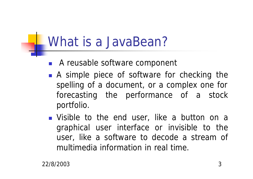### What is a JavaBean?

- A reusable software component
- A simple piece of software for checking the spelling of a document, or a complex one for forecasting the performance of a stock portfolio.
- **n** Visible to the end user, like a button on a graphical user interface or invisible to the user, like a software to decode a stream of multimedia information in real time.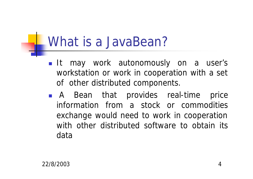### What is a JavaBean?

- **n** It may work autonomously on a user's workstation or work in cooperation with a set of other distributed components.
- <sup>n</sup> A Bean that provides real-time price information from a stock or commodities exchange would need to work in cooperation with other distributed software to obtain its data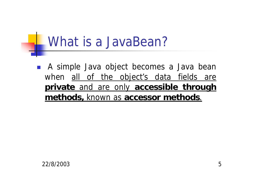### What is a JavaBean?

**n** A simple Java object becomes a Java bean when all of the object's data fields are **private** and are only **accessible through methods,** known as **accessor methods**.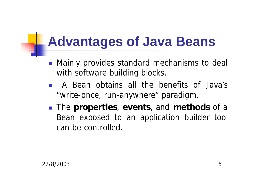### **Advantages of Java Beans**

- Mainly provides standard mechanisms to deal with software building blocks.
- **n** A Bean obtains all the benefits of Java's "write-once, run-anywhere" paradigm.
- **n** The **properties**, **events**, and **methods** of a Bean exposed to an application builder tool can be controlled.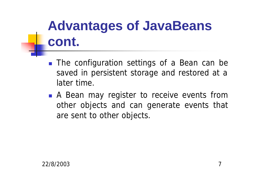## **Advantages of JavaBeans cont.**

- **n** The configuration settings of a Bean can be saved in persistent storage and restored at a later time.
- **A** Bean may register to receive events from other objects and can generate events that are sent to other objects.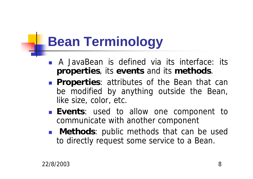## **Bean Terminology**

- **n** A JavaBean is defined via its interface: its **properties**, its **events** and its **methods**.
- **Properties:** attributes of the Bean that can be modified by anything outside the Bean, like size, color, etc.
- **Events**: used to allow one component to communicate with another component
- **n Methods**: public methods that can be used to directly request some service to a Bean.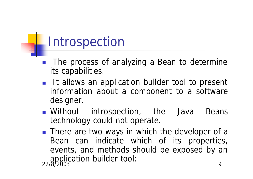### Introspection

- The process of analyzing a Bean to determine its capabilities.
- **n** It allows an application builder tool to present information about a component to a software designer.
- **n** Without introspection, the Java Beans technology could not operate.
- 22/8/2003 9 ■ There are two ways in which the developer of a Bean can indicate which of its properties, events, and methods should be exposed by an application builder tool: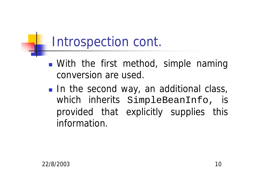### Introspection cont.

- **n** With the first method, simple naming conversion are used.
- **n** In the second way, an additional class, which inherits SimpleBeanInfo, is provided that explicitly supplies this information.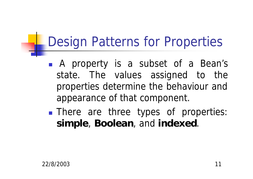## Design Patterns for Properties

- **n** A property is a subset of a Bean's state. The values assigned to the properties determine the behaviour and appearance of that component.
- **n** There are three types of properties: **simple**, **Boolean**, and **indexed**.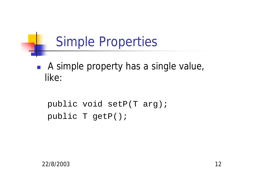## Simple Properties

**A** simple property has a single value, like:

```
public void setP(T arg);
public T getP();
```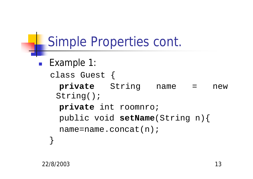```
Simple Properties cont.
■ Example 1:
  class Guest {
   private String name = new 
   String();
    private int roomnro;
   public void setName(String n){
    name=name.concat(n);
  }
```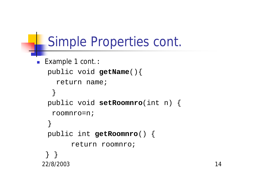### Simple Properties cont.

```
22/8/2003 14
■ Example 1 cont.:
  public void getName(){
    return name;
   }
  public void setRoomnro(int n) {
   roomnro=n;
  }
  public int getRoomnro() {
       return roomnro;
 } }
```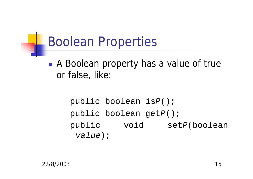### Boolean Properties

**A Boolean property has a value of true** or false, like:

> public boolean is*P*(); public boolean get*P*(); public void set*P*(boolean *value*);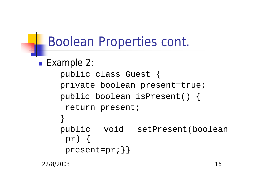## Boolean Properties cont.

```
■ Example 2:
    public class Guest {
    private boolean present=true;
    public boolean isPresent() {
     return present;
    }
    public void setPresent(boolean
     pr) {
     present=pr; } }
```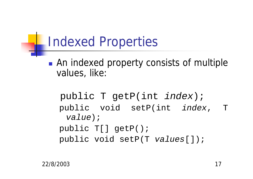### Indexed Properties

**n** An indexed property consists of multiple values, like:

public T getP(int *index*); public void setP(int *index*, T *value*); public T[] getP(); public void setP(T *values*[]);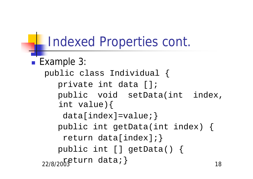### Indexed Properties cont.

22/8/2003 cuite calcar j **Example 3:** public class Individual { private int data []; public void setData(int index, int value){ data[index]=value;} public int getData(int index) { return data[index];} public int [] getData() { return data;}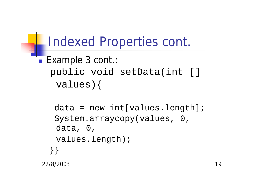### Indexed Properties cont.

### ■ Example 3 cont.: public void setData(int [] values){

```
22/8/2003 19
 data = new int[values.length];System.arraycopy(values, 0, 
  data, 0, 
  values.length);
 }}
```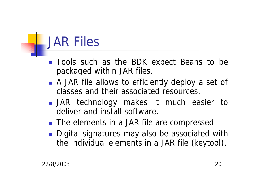## JAR Files

- **n** Tools such as the BDK expect Beans to be packaged within JAR files.
- A JAR file allows to efficiently deploy a set of classes and their associated resources.
- **n** JAR technology makes it much easier to deliver and install software.
- The elements in a JAR file are compressed
- **n** Digital signatures may also be associated with the individual elements in a JAR file (keytool).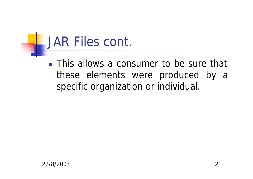### JAR Files cont.

**n** This allows a consumer to be sure that these elements were produced by a specific organization or individual.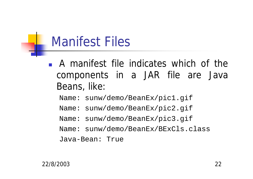### Manifest Files

- <sup>n</sup> A manifest file indicates which of the components in a JAR file are Java Beans, like:
	- Name: sunw/demo/BeanEx/pic1.gif
	- Name: sunw/demo/BeanEx/pic2.gif
	- Name: sunw/demo/BeanEx/pic3.gif
	- Name: sunw/demo/BeanEx/BExCls.class

Java-Bean: True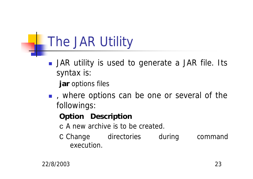## The JAR Utility

- **n** JAR utility is used to generate a JAR file. Its syntax is:
	- **jar** *options* files
- n , where options can be one or several of the followings:

#### **Option Description**

- c A new archive is to be created.
- C Change directories during command execution.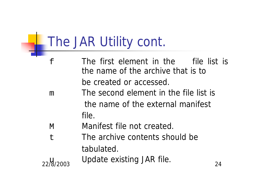## The JAR Utility cont.

- f The first element in the file list is the name of the archive that is to be created or accessed.
- m The second element in the file list is the name of the external manifest file.
- M Manifest file not created.
- t The archive contents should be tabulated.
- 22/8/2003 Putto Skisting Smiths. 24 u<sub>u</sub> Update existing JAR file.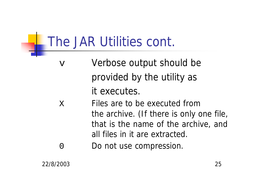### The JAR Utilities cont.

- v Verbose output should be provided by the utility as it executes.
- X Files are to be executed from the archive. (If there is only one file, that is the name of the archive, and all files in it are extracted.
- 0 Do not use compression.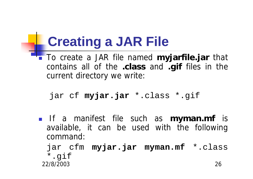## **Creating a JAR File**

**To create a JAR file named myjarfile.jar** that contains all of the **.class** and **.gif** files in the current directory we write:

```
jar cf myjar.jar *.class *.gif
```
- <sup>n</sup> If a manifest file such as **myman.mf** is available, it can be used with the following command:
	- 22/8/2003 26 jar cfm **myjar.jar myman.mf** \*.class \*.gif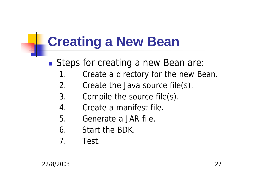## **Creating a New Bean**

- Steps for creating a new Bean are:
	- 1. Create a directory for the new Bean.
	- 2. Create the Java source file(s).
	- 3. Compile the source file(s).
	- 4. Create a manifest file.
	- 5. Generate a JAR file.
	- 6. Start the BDK.
	- 7. Test.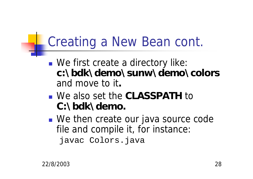## Creating a New Bean cont.

- We first create a directory like: **c:\bdk\demo\sunw\demo\colors** and move to it**.**
- <sup>n</sup> We also set the **CLASSPATH** to **C:\bdk\demo.**
- We then create our java source code file and compile it, for instance: javac Colors.java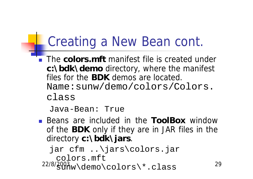## Creating a New Bean cont.

**The colors.mft** manifest file is created under **c:\bdk\demo** directory, where the manifest files for the **BDK** demos are located. Name:sunw/demo/colors/Colors. class

```
Java-Bean: True
```
**n** Beans are included in the **ToolBox** window of the **BDK** only if they are in JAR files in the directory **c:\bdk\jars**.

22/8/2003 29 sunw\demo\colors\\*.classjar cfm ..\jars\colors.jar colors.mft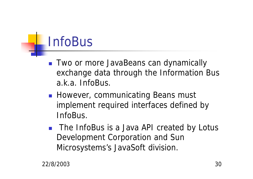## InfoBus

- **n** Two or more JavaBeans can dynamically exchange data through the Information Bus a.k.a. InfoBus.
- **However, communicating Beans must** implement required interfaces defined by InfoBus.
- The InfoBus is a Java API created by Lotus Development Corporation and Sun Microsystems's JavaSoft division.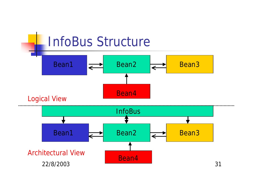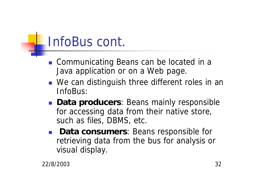### InfoBus cont.

- Communicating Beans can be located in a Java application or on a Web page.
- We can distinguish three different roles in an InfoBus:
- **Data producers**: Beans mainly responsible for accessing data from their native store, such as files, DBMS, etc.
- **Data consumers: Beans responsible for** retrieving data from the bus for analysis or visual display.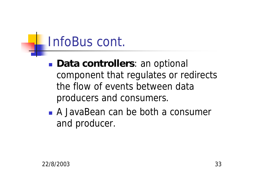### InfoBus cont.

- **n Data controllers**: an optional component that regulates or redirects the flow of events between data producers and consumers.
- <sup>n</sup> A JavaBean can be both a consumer and producer.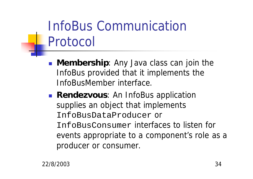## InfoBus Communication Protocol

- **n Membership**: Any Java class can join the InfoBus provided that it implements the InfoBusMember interface.
- **Rendezvous:** An InfoBus application supplies an object that implements InfoBusDataProducer or InfoBusConsumer interfaces to listen for events appropriate to a component's role as a producer or consumer.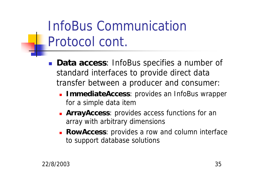## InfoBus Communication Protocol cont.

- **Data access:** InfoBus specifies a number of standard interfaces to provide direct data transfer between a producer and consumer:
	- **ImmediateAccess**: provides an InfoBus wrapper for a simple data item
	- **ArrayAccess**: provides access functions for an array with arbitrary dimensions
	- **RowAccess**: provides a row and column interface to support database solutions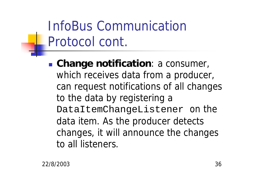## InfoBus Communication Protocol cont.

**n Change notification**: a consumer, which receives data from a producer, can request notifications of all changes to the data by registering a DataItemChangeListener on the data item. As the producer detects changes, it will announce the changes to all listeners.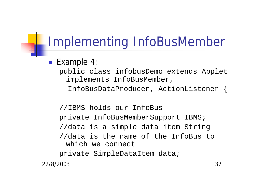#### ■ Example 4:

- public class infobusDemo extends Applet implements InfoBusMember,
	- InfoBusDataProducer, ActionListener {

//IBMS holds our InfoBus private InfoBusMemberSupport IBMS; //data is a simple data item String //data is the name of the InfoBus to which we connect private SimpleDataItem data;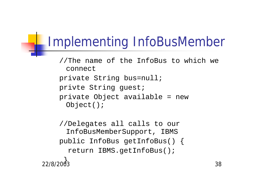- //The name of the InfoBus to which we connect private String bus=null; privte String guest;
- private Object available = new Object();

22/8/2003 38 //Delegates all calls to our InfoBusMemberSupport, IBMS public InfoBus getInfoBus() { return IBMS.getInfoBus(); )<br>ዓ.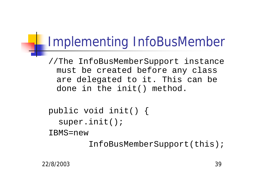//The InfoBusMemberSupport instance must be created before any class are delegated to it. This can be done in the init() method.

```
public void init() {
  super.init();
```
IBMS=new

InfoBusMemberSupport(this);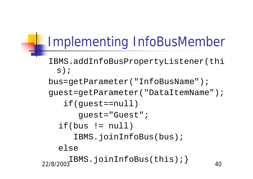```
IBMS.addInfoBusPropertyListener(thi
 s);
```

```
bus=getParameter("InfoBusName");
```

```
guest=getParameter("DataItemName");
```

```
if(guest==null)
```

```
guest="Guest";
```

```
if(bus != null)
```

```
IBMS.joinInfoBus(bus);
```

```
else
```

```
22/8/2003<sup>22</sup>
    IBMS.joinInfoBus(this);}
```